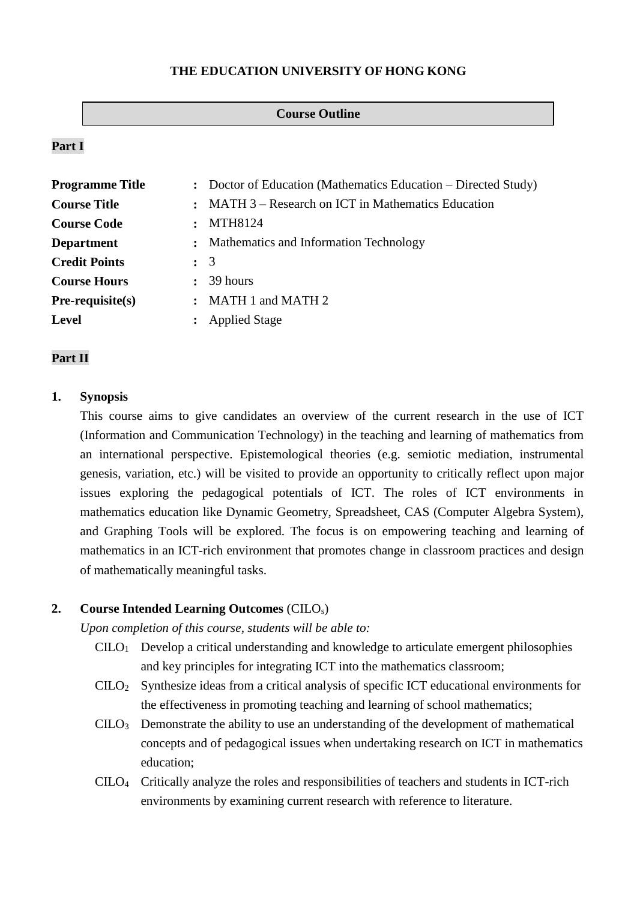## **THE EDUCATION UNIVERSITY OF HONG KONG**

#### **Course Outline**

## **Part I**

| <b>Programme Title</b> |                | : Doctor of Education (Mathematics Education – Directed Study) |  |  |
|------------------------|----------------|----------------------------------------------------------------|--|--|
| <b>Course Title</b>    |                | : MATH 3 – Research on ICT in Mathematics Education            |  |  |
| <b>Course Code</b>     |                | MTH8124                                                        |  |  |
| <b>Department</b>      |                | : Mathematics and Information Technology                       |  |  |
| <b>Credit Points</b>   |                | $\colon$ 3                                                     |  |  |
| <b>Course Hours</b>    | $\ddot{\cdot}$ | 39 hours                                                       |  |  |
| $Pre-requisite(s)$     | $\ddot{\cdot}$ | MATH 1 and MATH 2                                              |  |  |
| <b>Level</b>           |                | <b>Applied Stage</b>                                           |  |  |

## **Part II**

### **1. Synopsis**

This course aims to give candidates an overview of the current research in the use of ICT (Information and Communication Technology) in the teaching and learning of mathematics from an international perspective. Epistemological theories (e.g. semiotic mediation, instrumental genesis, variation, etc.) will be visited to provide an opportunity to critically reflect upon major issues exploring the pedagogical potentials of ICT. The roles of ICT environments in mathematics education like Dynamic Geometry, Spreadsheet, CAS (Computer Algebra System), and Graphing Tools will be explored. The focus is on empowering teaching and learning of mathematics in an ICT-rich environment that promotes change in classroom practices and design of mathematically meaningful tasks.

### **2. Course Intended Learning Outcomes** (CILOs)

*Upon completion of this course, students will be able to:*

- $CLLO<sub>1</sub>$  Develop a critical understanding and knowledge to articulate emergent philosophies and key principles for integrating ICT into the mathematics classroom;
- CILO<sup>2</sup> Synthesize ideas from a critical analysis of specific ICT educational environments for the effectiveness in promoting teaching and learning of school mathematics;
- CILO<sup>3</sup> Demonstrate the ability to use an understanding of the development of mathematical concepts and of pedagogical issues when undertaking research on ICT in mathematics education;
- CILO<sup>4</sup> Critically analyze the roles and responsibilities of teachers and students in ICT-rich environments by examining current research with reference to literature.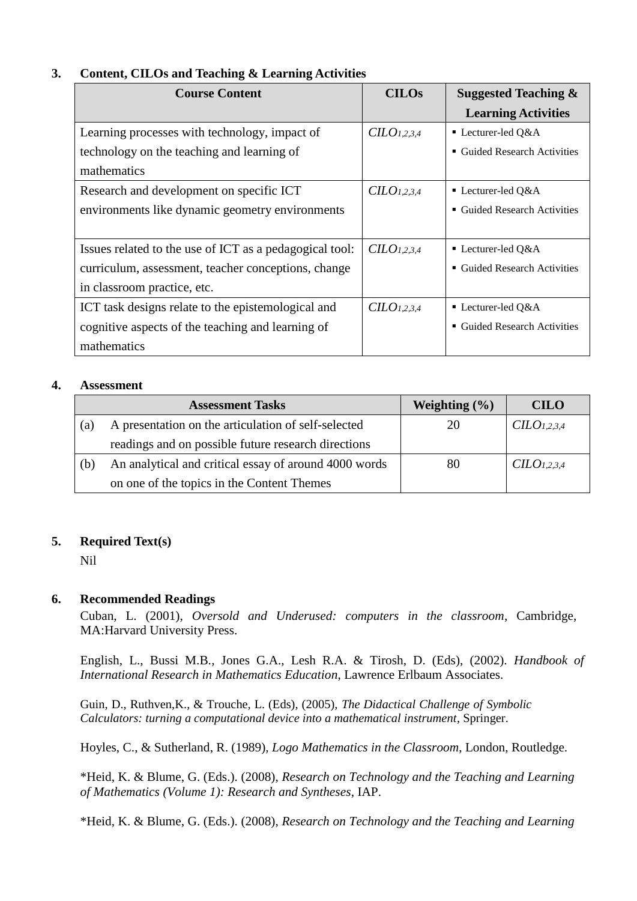# **3. Content, CILOs and Teaching & Learning Activities**

| <b>Course Content</b>                                   | <b>CILOs</b>            | <b>Suggested Teaching &amp;</b>        |
|---------------------------------------------------------|-------------------------|----------------------------------------|
|                                                         |                         | <b>Learning Activities</b>             |
| Learning processes with technology, impact of           | CILO <sub>1,2,3,4</sub> | $\blacksquare$ Lecturer-led Q&A        |
| technology on the teaching and learning of              |                         | <b>Guided Research Activities</b><br>٠ |
| mathematics                                             |                         |                                        |
| Research and development on specific ICT                | CILO <sub>1,2,3,4</sub> | ■ Lecturer-led O&A                     |
| environments like dynamic geometry environments         |                         | <b>Guided Research Activities</b><br>٠ |
|                                                         |                         |                                        |
| Issues related to the use of ICT as a pedagogical tool: | CILO <sub>1,2,3,4</sub> | ■ Lecturer-led $Q&A$                   |
| curriculum, assessment, teacher conceptions, change     |                         | <b>Guided Research Activities</b><br>٠ |
| in classroom practice, etc.                             |                         |                                        |
| ICT task designs relate to the epistemological and      | CILO <sub>1,2,3,4</sub> | ■ Lecturer-led $Q&A$                   |
| cognitive aspects of the teaching and learning of       |                         | <b>Guided Research Activities</b><br>٠ |
| mathematics                                             |                         |                                        |

## **4. Assessment**

|     | <b>Assessment Tasks</b>                               | Weighting $(\% )$ | <b>CILO</b>             |
|-----|-------------------------------------------------------|-------------------|-------------------------|
| (a) | A presentation on the articulation of self-selected   | 20                | CILO <sub>1,2,3,4</sub> |
|     | readings and on possible future research directions   |                   |                         |
| (b) | An analytical and critical essay of around 4000 words | 80                | CILO <sub>1,2,3,4</sub> |
|     | on one of the topics in the Content Themes            |                   |                         |

# **5. Required Text(s)**

Nil

### **6. Recommended Readings**

Cuban, L. (2001), *Oversold and Underused: computers in the classroom*, Cambridge, MA:Harvard University Press.

English, L., Bussi M.B., Jones G.A., Lesh R.A. & Tirosh, D. (Eds), (2002). *Handbook of International Research in Mathematics Education*, Lawrence Erlbaum Associates.

Guin, D., Ruthven,K., & Trouche, L. (Eds), (2005), *The Didactical Challenge of Symbolic Calculators: turning a computational device into a mathematical instrument*, Springer.

Hoyles, C., & Sutherland, R. (1989), *Logo Mathematics in the Classroom*, London, Routledge.

\*Heid, K. & Blume, G. (Eds.). (2008), *Research on Technology and the Teaching and Learning of Mathematics (Volume 1): Research and Syntheses*, IAP.

\*Heid, K. & Blume, G. (Eds.). (2008), *Research on Technology and the Teaching and Learning*